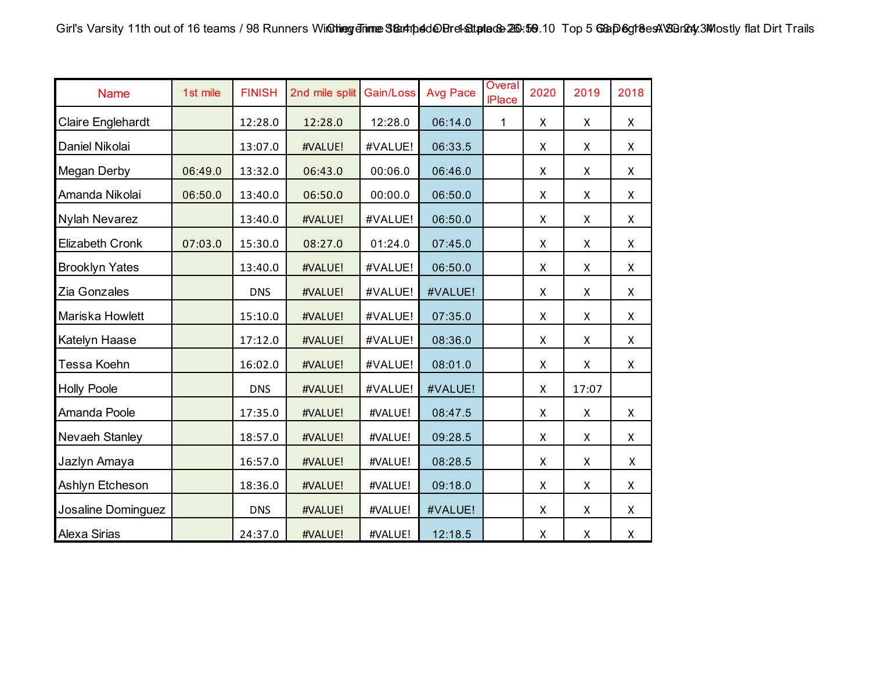| <b>Name</b>            | 1st mile | <b>FINISH</b> | 2nd mile split | Gain/Loss | <b>Avg Pace</b> | Overal<br><b>IPlace</b> | 2020               | 2019  | 2018               |
|------------------------|----------|---------------|----------------|-----------|-----------------|-------------------------|--------------------|-------|--------------------|
| Claire Englehardt      |          | 12:28.0       | 12:28.0        | 12:28.0   | 06:14.0         | 1                       | X                  | X     | X                  |
| Daniel Nikolai         |          | 13:07.0       | #VALUE!        | #VALUE!   | 06:33.5         |                         | X                  | X     | X                  |
| Megan Derby            | 06:49.0  | 13:32.0       | 06:43.0        | 00:06.0   | 06:46.0         |                         | $\pmb{\mathsf{X}}$ | X     | $\pmb{\times}$     |
| Amanda Nikolai         | 06:50.0  | 13:40.0       | 06:50.0        | 00:00.0   | 06:50.0         |                         | X                  | X     | X                  |
| Nylah Nevarez          |          | 13:40.0       | #VALUE!        | #VALUE!   | 06:50.0         |                         | X                  | X     | $\pmb{\times}$     |
| <b>Elizabeth Cronk</b> | 07:03.0  | 15:30.0       | 08:27.0        | 01:24.0   | 07:45.0         |                         | $\pmb{\times}$     | X     | X                  |
| <b>Brooklyn Yates</b>  |          | 13:40.0       | #VALUE!        | #VALUE!   | 06:50.0         |                         | X                  | X     | X                  |
| Zia Gonzales           |          | <b>DNS</b>    | #VALUE!        | #VALUE!   | #VALUE!         |                         | X                  | X     | X                  |
| Mariska Howlett        |          | 15:10.0       | #VALUE!        | #VALUE!   | 07:35.0         |                         | X                  | X     | X                  |
| Katelyn Haase          |          | 17:12.0       | #VALUE!        | #VALUE!   | 08:36.0         |                         | $\pmb{\mathsf{X}}$ | X     | X                  |
| Tessa Koehn            |          | 16:02.0       | #VALUE!        | #VALUE!   | 08:01.0         |                         | $\pmb{\times}$     | X     | X                  |
| <b>Holly Poole</b>     |          | <b>DNS</b>    | #VALUE!        | #VALUE!   | #VALUE!         |                         | X                  | 17:07 |                    |
| Amanda Poole           |          | 17:35.0       | #VALUE!        | #VALUE!   | 08:47.5         |                         | X                  | X     | $\pmb{\mathsf{X}}$ |
| Nevaeh Stanley         |          | 18:57.0       | #VALUE!        | #VALUE!   | 09:28.5         |                         | X                  | X     | Χ                  |
| Jazlyn Amaya           |          | 16:57.0       | #VALUE!        | #VALUE!   | 08:28.5         |                         | X                  | X     | X                  |
| Ashlyn Etcheson        |          | 18:36.0       | #VALUE!        | #VALUE!   | 09:18.0         |                         | X                  | X     | X                  |
| Josaline Dominguez     |          | <b>DNS</b>    | #VALUE!        | #VALUE!   | #VALUE!         |                         | X                  | X     | X                  |
| <b>Alexa Sirias</b>    |          | 24:37.0       | #VALUE!        | #VALUE!   | 12:18.5         |                         | X                  | X     | X                  |